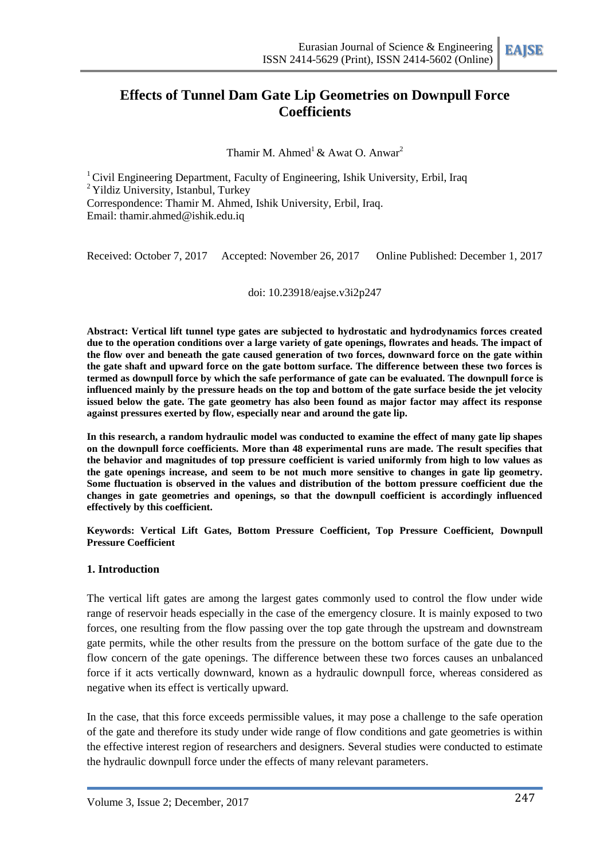# **Effects of Tunnel Dam Gate Lip Geometries on Downpull Force Coefficients**

Thamir M. Ahmed<sup>1</sup> & Awat O. Anwar<sup>2</sup>

<sup>1</sup> Civil Engineering Department, Faculty of Engineering, Ishik University, Erbil, Iraq <sup>2</sup> Yildiz University, Istanbul, Turkey Correspondence: Thamir M. Ahmed, Ishik University, Erbil, Iraq. Email: [thamir.ahmed@ishik.edu.iq](mailto:thamir.ahmed@ishik.edu.iq)

Received: October 7, 2017 Accepted: November 26, 2017 Online Published: December 1, 2017

doi: 10.23918/eajse.v3i2p247

**Abstract: Vertical lift tunnel type gates are subjected to hydrostatic and hydrodynamics forces created due to the operation conditions over a large variety of gate openings, flowrates and heads. The impact of the flow over and beneath the gate caused generation of two forces, downward force on the gate within the gate shaft and upward force on the gate bottom surface. The difference between these two forces is termed as downpull force by which the safe performance of gate can be evaluated. The downpull force is influenced mainly by the pressure heads on the top and bottom of the gate surface beside the jet velocity issued below the gate. The gate geometry has also been found as major factor may affect its response against pressures exerted by flow, especially near and around the gate lip.** 

**In this research, a random hydraulic model was conducted to examine the effect of many gate lip shapes on the downpull force coefficients. More than 48 experimental runs are made. The result specifies that the behavior and magnitudes of top pressure coefficient is varied uniformly from high to low values as the gate openings increase, and seem to be not much more sensitive to changes in gate lip geometry. Some fluctuation is observed in the values and distribution of the bottom pressure coefficient due the changes in gate geometries and openings, so that the downpull coefficient is accordingly influenced effectively by this coefficient.**

**Keywords: Vertical Lift Gates, Bottom Pressure Coefficient, Top Pressure Coefficient, Downpull Pressure Coefficient**

#### **1. Introduction**

The vertical lift gates are among the largest gates commonly used to control the flow under wide range of reservoir heads especially in the case of the emergency closure. It is mainly exposed to two forces, one resulting from the flow passing over the top gate through the upstream and downstream gate permits, while the other results from the pressure on the bottom surface of the gate due to the flow concern of the gate openings. The difference between these two forces causes an unbalanced force if it acts vertically downward, known as a hydraulic downpull force, whereas considered as negative when its effect is vertically upward.

In the case, that this force exceeds permissible values, it may pose a challenge to the safe operation of the gate and therefore its study under wide range of flow conditions and gate geometries is within the effective interest region of researchers and designers. Several studies were conducted to estimate the hydraulic downpull force under the effects of many relevant parameters.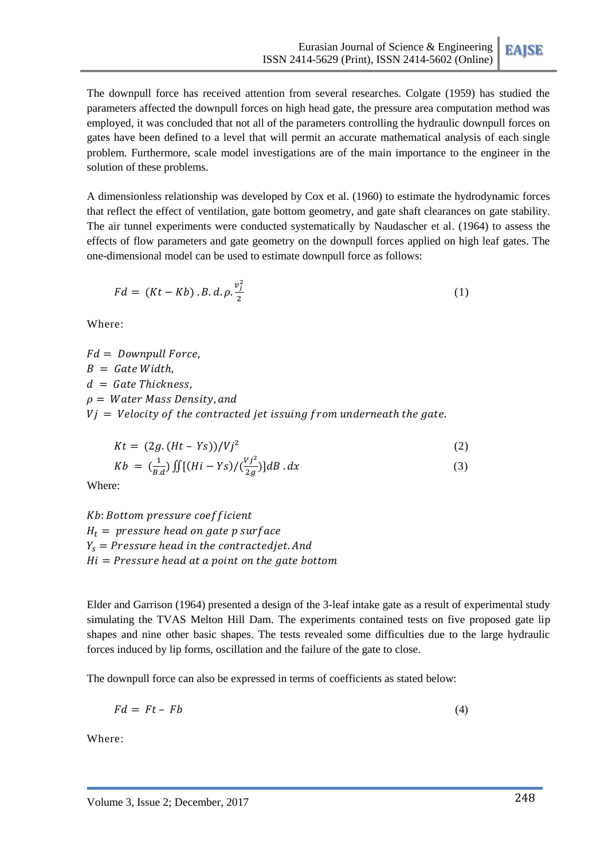The downpull force has received attention from several researches. Colgate (1959) has studied the parameters affected the downpull forces on high head gate, the pressure area computation method was employed, it was concluded that not all of the parameters controlling the hydraulic downpull forces on gates have been defined to a level that will permit an accurate mathematical analysis of each single problem. Furthermore, scale model investigations are of the main importance to the engineer in the solution of these problems.

A dimensionless relationship was developed by Cox et al. (1960) to estimate the hydrodynamic forces that reflect the effect of ventilation, gate bottom geometry, and gate shaft clearances on gate stability. The air tunnel experiments were conducted systematically by Naudascher et al. (1964) to assess the effects of flow parameters and gate geometry on the downpull forces applied on high leaf gates. The one-dimensional model can be used to estimate downpull force as follows:

$$
Fd = (Kt - Kb) \cdot B \cdot d \cdot \rho \cdot \frac{v_j^2}{2}
$$
 (1)

Where:

 $Fd = Downpull Force.$  $B =$  Gate Width,  $d =$  Gate Thickness,  $\rho = Water Mass Density, and$  $Vj = Velocity$  of the contracted jet issuing from underneath the gate.

$$
Kt = (2g. (Ht - Ys))/Vj2
$$
 (2)

$$
Kb = \left(\frac{1}{B.d}\right) \iint \left[ (Hi - Ys) / \left(\frac{Vj^2}{2g}\right) \right] dB \, dx \tag{3}
$$

Where:

Kb: Bottom pressure coefficient  $H_t$  = pressure head on gate p surface  $Y_s$  = Pressure head in the contracted jet. And  $Hi = Pressure head at a point on the gate bottom$ 

Elder and Garrison (1964) presented a design of the 3-leaf intake gate as a result of experimental study simulating the TVAS Melton Hill Dam. The experiments contained tests on five proposed gate lip shapes and nine other basic shapes. The tests revealed some difficulties due to the large hydraulic forces induced by lip forms, oscillation and the failure of the gate to close.

The downpull force can also be expressed in terms of coefficients as stated below:

$$
Fd = Ft - Fb \tag{4}
$$

Where: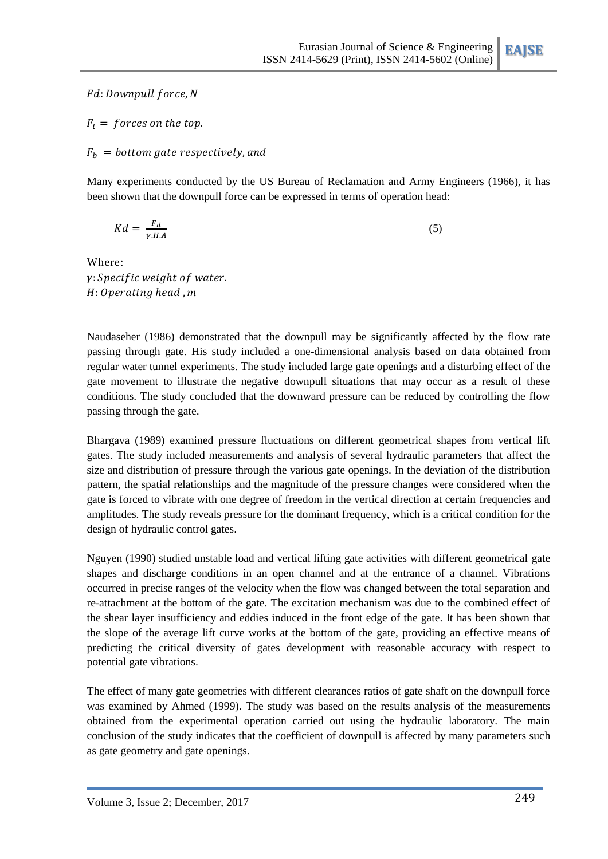Fd: Downpull force, N

 $F_t =$  forces on the top.

 $F_h$  = bottom gate respectively, and

Many experiments conducted by the US Bureau of Reclamation and Army Engineers (1966), it has been shown that the downpull force can be expressed in terms of operation head:

$$
Kd = \frac{F_d}{\gamma H A} \tag{5}
$$

Where:  $\gamma$ : Specific weight of water.  $H: Operating$  head,  $m$ 

Naudaseher (1986) demonstrated that the downpull may be significantly affected by the flow rate passing through gate. His study included a one-dimensional analysis based on data obtained from regular water tunnel experiments. The study included large gate openings and a disturbing effect of the gate movement to illustrate the negative downpull situations that may occur as a result of these conditions. The study concluded that the downward pressure can be reduced by controlling the flow passing through the gate.

Bhargava (1989) examined pressure fluctuations on different geometrical shapes from vertical lift gates. The study included measurements and analysis of several hydraulic parameters that affect the size and distribution of pressure through the various gate openings. In the deviation of the distribution pattern, the spatial relationships and the magnitude of the pressure changes were considered when the gate is forced to vibrate with one degree of freedom in the vertical direction at certain frequencies and amplitudes. The study reveals pressure for the dominant frequency, which is a critical condition for the design of hydraulic control gates.

Nguyen (1990) studied unstable load and vertical lifting gate activities with different geometrical gate shapes and discharge conditions in an open channel and at the entrance of a channel. Vibrations occurred in precise ranges of the velocity when the flow was changed between the total separation and re-attachment at the bottom of the gate. The excitation mechanism was due to the combined effect of the shear layer insufficiency and eddies induced in the front edge of the gate. It has been shown that the slope of the average lift curve works at the bottom of the gate, providing an effective means of predicting the critical diversity of gates development with reasonable accuracy with respect to potential gate vibrations.

The effect of many gate geometries with different clearances ratios of gate shaft on the downpull force was examined by Ahmed (1999). The study was based on the results analysis of the measurements obtained from the experimental operation carried out using the hydraulic laboratory. The main conclusion of the study indicates that the coefficient of downpull is affected by many parameters such as gate geometry and gate openings.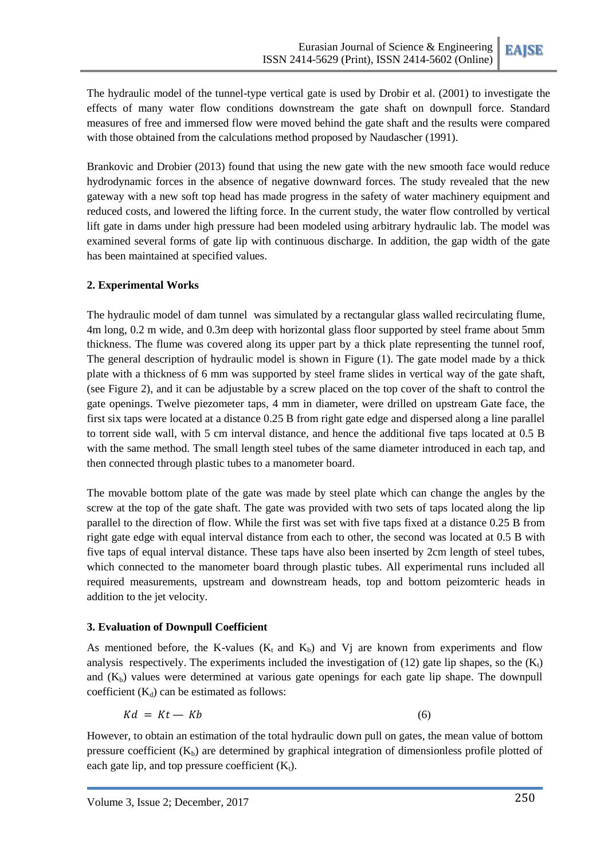The hydraulic model of the tunnel-type vertical gate is used by Drobir et al. (2001) to investigate the effects of many water flow conditions downstream the gate shaft on downpull force. Standard measures of free and immersed flow were moved behind the gate shaft and the results were compared with those obtained from the calculations method proposed by Naudascher (1991).

Brankovic and Drobier (2013) found that using the new gate with the new smooth face would reduce hydrodynamic forces in the absence of negative downward forces. The study revealed that the new gateway with a new soft top head has made progress in the safety of water machinery equipment and reduced costs, and lowered the lifting force. In the current study, the water flow controlled by vertical lift gate in dams under high pressure had been modeled using arbitrary hydraulic lab. The model was examined several forms of gate lip with continuous discharge. In addition, the gap width of the gate has been maintained at specified values.

## **2. Experimental Works**

The hydraulic model of dam tunnel was simulated by a rectangular glass walled recirculating flume, 4m long, 0.2 m wide, and 0.3m deep with horizontal glass floor supported by steel frame about 5mm thickness. The flume was covered along its upper part by a thick plate representing the tunnel roof, The general description of hydraulic model is shown in Figure (1). The gate model made by a thick plate with a thickness of 6 mm was supported by steel frame slides in vertical way of the gate shaft, (see Figure 2), and it can be adjustable by a screw placed on the top cover of the shaft to control the gate openings. Twelve piezometer taps, 4 mm in diameter, were drilled on upstream Gate face, the first six taps were located at a distance 0.25 B from right gate edge and dispersed along a line parallel to torrent side wall, with 5 cm interval distance, and hence the additional five taps located at 0.5 B with the same method. The small length steel tubes of the same diameter introduced in each tap, and then connected through plastic tubes to a manometer board.

The movable bottom plate of the gate was made by steel plate which can change the angles by the screw at the top of the gate shaft. The gate was provided with two sets of taps located along the lip parallel to the direction of flow. While the first was set with five taps fixed at a distance 0.25 B from right gate edge with equal interval distance from each to other, the second was located at 0.5 B with five taps of equal interval distance. These taps have also been inserted by 2cm length of steel tubes, which connected to the manometer board through plastic tubes. All experimental runs included all required measurements, upstream and downstream heads, top and bottom peizomteric heads in addition to the jet velocity.

#### **3. Evaluation of Downpull Coefficient**

As mentioned before, the K-values ( $K_t$  and  $K_b$ ) and V<sub>j</sub> are known from experiments and flow analysis respectively. The experiments included the investigation of  $(12)$  gate lip shapes, so the  $(K<sub>t</sub>)$ and  $(K_b)$  values were determined at various gate openings for each gate lip shape. The downpull coefficient  $(K_d)$  can be estimated as follows:

$$
Kd = Kt - Kb \tag{6}
$$

However, to obtain an estimation of the total hydraulic down pull on gates, the mean value of bottom pressure coefficient  $(K_b)$  are determined by graphical integration of dimensionless profile plotted of each gate lip, and top pressure coefficient  $(K_t)$ .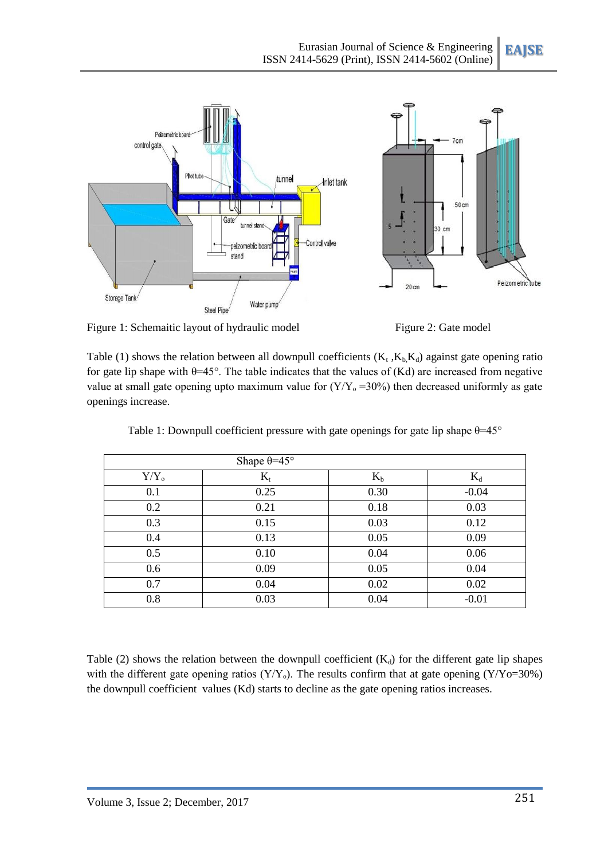

Figure 1: Schemaitic layout of hydraulic model Figure 2: Gate model



Table (1) shows the relation between all downpull coefficients  $(K_t, K_b, K_d)$  against gate opening ratio for gate lip shape with  $\theta$ =45°. The table indicates that the values of (Kd) are increased from negative value at small gate opening upto maximum value for  $(Y/Y_0 = 30\%)$  then decreased uniformly as gate openings increase.

|         | Shape $\theta = 45^{\circ}$ |       |         |
|---------|-----------------------------|-------|---------|
| $Y/Y_0$ | $K_t$                       | $K_b$ | $K_d$   |
| 0.1     | 0.25                        | 0.30  | $-0.04$ |
| 0.2     | 0.21                        | 0.18  | 0.03    |
| 0.3     | 0.15                        | 0.03  | 0.12    |
| 0.4     | 0.13                        | 0.05  | 0.09    |
| 0.5     | 0.10                        | 0.04  | 0.06    |
| 0.6     | 0.09                        | 0.05  | 0.04    |
| 0.7     | 0.04                        | 0.02  | 0.02    |
| 0.8     | 0.03                        | 0.04  | $-0.01$ |

Table 1: Downpull coefficient pressure with gate openings for gate lip shape  $\theta$ =45°

Table (2) shows the relation between the downpull coefficient  $(K_d)$  for the different gate lip shapes with the different gate opening ratios ( $Y/Y_0$ ). The results confirm that at gate opening ( $Y/Y_0=30\%$ ) the downpull coefficient values (Kd) starts to decline as the gate opening ratios increases.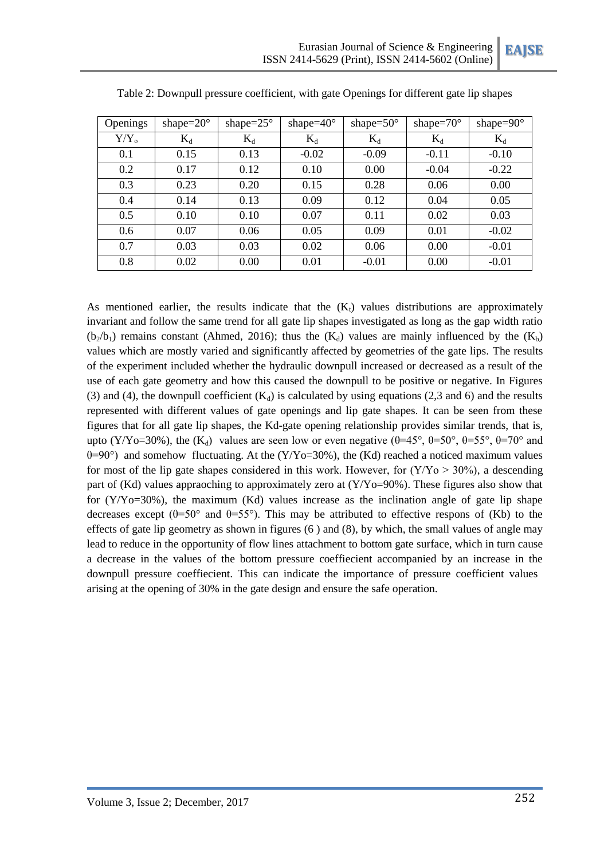| Openings  | shape= $20^\circ$ | shape= $25^\circ$ | shape= $40^{\circ}$ | shape= $50^\circ$ | shape= $70^\circ$ | shape= $90^\circ$ |
|-----------|-------------------|-------------------|---------------------|-------------------|-------------------|-------------------|
| $Y/Y_{o}$ | $K_d$             | $K_d$             | $K_d$               | $K_d$             | $K_d$             | $K_d$             |
| 0.1       | 0.15              | 0.13              | $-0.02$             | $-0.09$           | $-0.11$           | $-0.10$           |
| 0.2       | 0.17              | 0.12              | 0.10                | 0.00              | $-0.04$           | $-0.22$           |
| 0.3       | 0.23              | 0.20              | 0.15                | 0.28              | 0.06              | 0.00              |
| 0.4       | 0.14              | 0.13              | 0.09                | 0.12              | 0.04              | 0.05              |
| 0.5       | 0.10              | 0.10              | 0.07                | 0.11              | 0.02              | 0.03              |
| 0.6       | 0.07              | 0.06              | 0.05                | 0.09              | 0.01              | $-0.02$           |
| 0.7       | 0.03              | 0.03              | 0.02                | 0.06              | 0.00              | $-0.01$           |
| 0.8       | 0.02              | 0.00              | 0.01                | $-0.01$           | 0.00              | $-0.01$           |

Table 2: Downpull pressure coefficient, with gate Openings for different gate lip shapes

As mentioned earlier, the results indicate that the  $(K_t)$  values distributions are approximately invariant and follow the same trend for all gate lip shapes investigated as long as the gap width ratio  $(b_2/b_1)$  remains constant (Ahmed, 2016); thus the  $(K_d)$  values are mainly influenced by the  $(K_b)$ values which are mostly varied and significantly affected by geometries of the gate lips. The results of the experiment included whether the hydraulic downpull increased or decreased as a result of the use of each gate geometry and how this caused the downpull to be positive or negative. In Figures (3) and (4), the downpull coefficient  $(K_d)$  is calculated by using equations (2,3 and 6) and the results represented with different values of gate openings and lip gate shapes. It can be seen from these figures that for all gate lip shapes, the Kd-gate opening relationship provides similar trends, that is, upto (Y/Yo=30%), the (K<sub>d</sub>) values are seen low or even negative ( $\theta$ =45°,  $\theta$ =50°,  $\theta$ =55°,  $\theta$ =70° and  $\theta$ =90°) and somehow fluctuating. At the (Y/Yo=30%), the (Kd) reached a noticed maximum values for most of the lip gate shapes considered in this work. However, for  $(Y/Y_0 > 30\%)$ , a descending part of (Kd) values appraoching to approximately zero at (Y/Yo=90%). These figures also show that for  $(Y/Yo=30%)$ , the maximum  $(Kd)$  values increase as the inclination angle of gate lip shape decreases except ( $\theta$ =50° and  $\theta$ =55°). This may be attributed to effective respons of (Kb) to the effects of gate lip geometry as shown in figures (6 ) and (8), by which, the small values of angle may lead to reduce in the opportunity of flow lines attachment to bottom gate surface, which in turn cause a decrease in the values of the bottom pressure coeffiecient accompanied by an increase in the downpull pressure coeffiecient. This can indicate the importance of pressure coefficient values arising at the opening of 30% in the gate design and ensure the safe operation.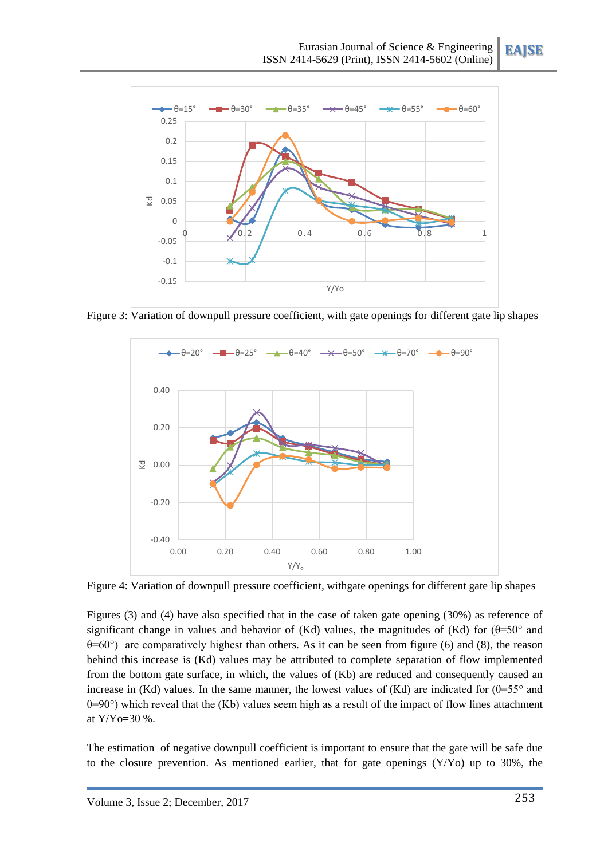**EAJSE**



Figure 3: Variation of downpull pressure coefficient, with gate openings for different gate lip shapes



Figure 4: Variation of downpull pressure coefficient, withgate openings for different gate lip shapes

Figures (3) and (4) have also specified that in the case of taken gate opening (30%) as reference of significant change in values and behavior of (Kd) values, the magnitudes of (Kd) for  $(\theta=50^{\circ}$  and  $\theta$ =60°) are comparatively highest than others. As it can be seen from figure (6) and (8), the reason behind this increase is (Kd) values may be attributed to complete separation of flow implemented from the bottom gate surface, in which, the values of (Kb) are reduced and consequently caused an increase in (Kd) values. In the same manner, the lowest values of (Kd) are indicated for  $(\theta = 55^{\circ})$  and  $\theta$ =90°) which reveal that the (Kb) values seem high as a result of the impact of flow lines attachment at Y/Yo=30 %.

The estimation of negative downpull coefficient is important to ensure that the gate will be safe due to the closure prevention. As mentioned earlier, that for gate openings (Y/Yo) up to 30%, the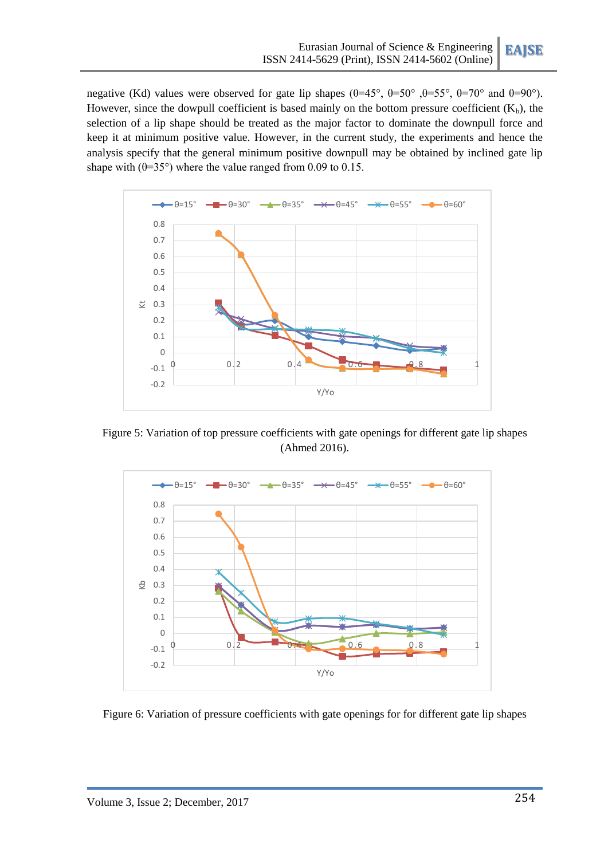negative (Kd) values were observed for gate lip shapes  $(\theta=45^\circ, \theta=50^\circ, \theta=55^\circ, \theta=70^\circ, \theta=90^\circ)$ . However, since the dowpull coefficient is based mainly on the bottom pressure coefficient  $(K_b)$ , the selection of a lip shape should be treated as the major factor to dominate the downpull force and keep it at minimum positive value. However, in the current study, the experiments and hence the analysis specify that the general minimum positive downpull may be obtained by inclined gate lip shape with  $(\theta=35^{\circ})$  where the value ranged from 0.09 to 0.15.



Figure 5: Variation of top pressure coefficients with gate openings for different gate lip shapes (Ahmed 2016).



Figure 6: Variation of pressure coefficients with gate openings for for different gate lip shapes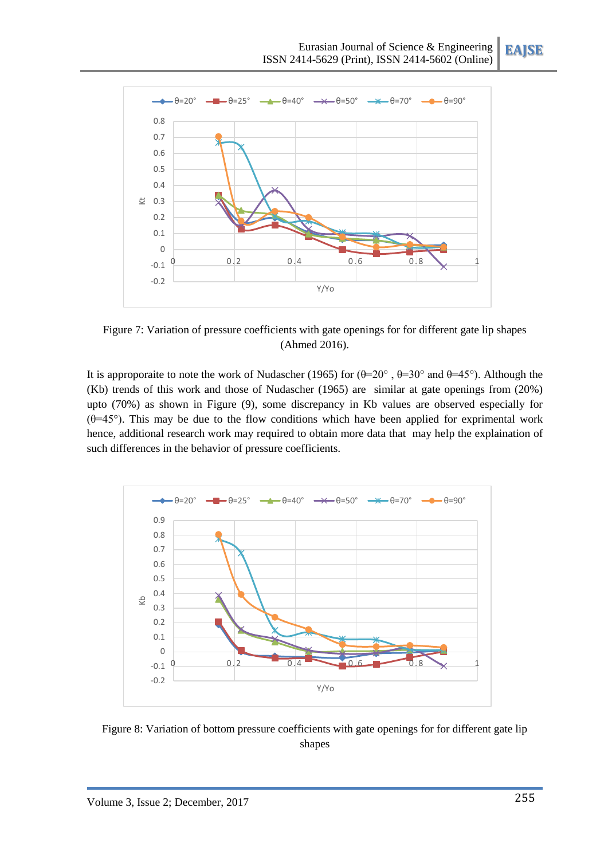**EAJSE**



Figure 7: Variation of pressure coefficients with gate openings for for different gate lip shapes (Ahmed 2016).

It is approporaite to note the work of Nudascher (1965) for  $(\theta=20^{\circ}, \theta=30^{\circ})$  and  $\theta=45^{\circ}$ ). Although the (Kb) trends of this work and those of Nudascher (1965) are similar at gate openings from (20%) upto (70%) as shown in Figure (9), some discrepancy in Kb values are observed especially for ( $\theta$ =45°). This may be due to the flow conditions which have been applied for exprimental work hence, additional research work may required to obtain more data that may help the explaination of such differences in the behavior of pressure coefficients.



Figure 8: Variation of bottom pressure coefficients with gate openings for for different gate lip shapes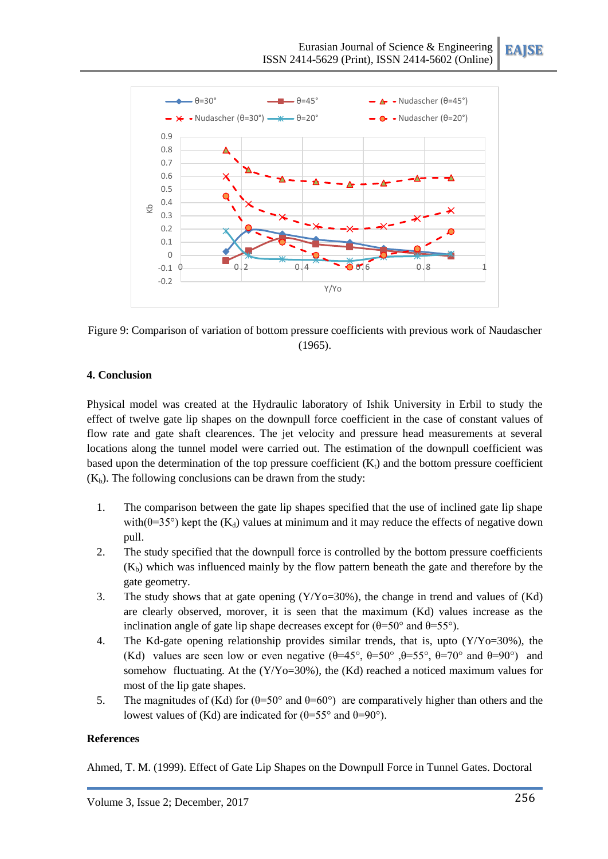| $-\theta = 30^\circ$<br>$ \theta$ = 45 $^{\circ}$ |                                                                                                              |                                           |      | $\rightarrow$ $\rightarrow$ • Nudascher ( $\theta$ =45°) |                          |  |
|---------------------------------------------------|--------------------------------------------------------------------------------------------------------------|-------------------------------------------|------|----------------------------------------------------------|--------------------------|--|
|                                                   | $\rightarrow$ $\leftarrow$ $\rightarrow$ Nudascher ( $\theta$ =30°) $\rightarrow$ $\leftarrow$ $\theta$ =20° |                                           |      | $\rightarrow$ $\bullet$ - Nudascher ( $\theta$ =20°)     |                          |  |
| 0.9                                               |                                                                                                              |                                           |      |                                                          |                          |  |
| 0.8                                               |                                                                                                              |                                           |      |                                                          |                          |  |
| 0.7                                               |                                                                                                              |                                           |      |                                                          |                          |  |
| 0.6                                               |                                                                                                              |                                           |      |                                                          |                          |  |
| 0.5                                               |                                                                                                              |                                           | ∼    |                                                          |                          |  |
| 0.4<br>$\overline{\infty}$                        |                                                                                                              |                                           |      |                                                          |                          |  |
| 0.3                                               |                                                                                                              |                                           |      |                                                          | $\boldsymbol{\varkappa}$ |  |
| 0.2                                               |                                                                                                              |                                           |      |                                                          |                          |  |
| 0.1                                               |                                                                                                              |                                           |      |                                                          |                          |  |
| $\mathbf 0$                                       |                                                                                                              | $\overline{\mathbf{v}}$<br>$\overline{z}$ |      |                                                          |                          |  |
| $-0.1$<br>t                                       |                                                                                                              | $\overline{\mathbf{z}}$<br>0.4            | 00.6 | 0.8                                                      |                          |  |
| $-0.2$                                            |                                                                                                              |                                           |      |                                                          |                          |  |
|                                                   |                                                                                                              |                                           | Y/Yo |                                                          |                          |  |

Figure 9: Comparison of variation of bottom pressure coefficients with previous work of Naudascher (1965).

### **4. Conclusion**

Physical model was created at the Hydraulic laboratory of Ishik University in Erbil to study the effect of twelve gate lip shapes on the downpull force coefficient in the case of constant values of flow rate and gate shaft clearences. The jet velocity and pressure head measurements at several locations along the tunnel model were carried out. The estimation of the downpull coefficient was based upon the determination of the top pressure coefficient  $(K<sub>t</sub>)$  and the bottom pressure coefficient  $(K_b)$ . The following conclusions can be drawn from the study:

- 1. The comparison between the gate lip shapes specified that the use of inclined gate lip shape with( $\theta$ =35°) kept the (K<sub>d</sub>) values at minimum and it may reduce the effects of negative down pull.
- 2. The study specified that the downpull force is controlled by the bottom pressure coefficients  $(K_b)$  which was influenced mainly by the flow pattern beneath the gate and therefore by the gate geometry.
- 3. The study shows that at gate opening (Y/Yo=30%), the change in trend and values of (Kd) are clearly observed, morover, it is seen that the maximum (Kd) values increase as the inclination angle of gate lip shape decreases except for  $(\theta=50^{\circ}$  and  $\theta=55^{\circ})$ .
- 4. The Kd-gate opening relationship provides similar trends, that is, upto (Y/Yo=30%), the (Kd) values are seen low or even negative  $(\theta = 45^{\circ}, \theta = 50^{\circ}, \theta = 55^{\circ}, \theta = 70^{\circ} \text{ and } \theta = 90^{\circ})$  and somehow fluctuating. At the (Y/Yo=30%), the (Kd) reached a noticed maximum values for most of the lip gate shapes.
- 5. The magnitudes of (Kd) for  $(\theta = 50^{\circ} \text{ and } \theta = 60^{\circ})$  are comparatively higher than others and the lowest values of (Kd) are indicated for  $(θ=55°$  and  $θ=90°)$ .

#### **References**

Ahmed, T. M. (1999). Effect of Gate Lip Shapes on the Downpull Force in Tunnel Gates. Doctoral